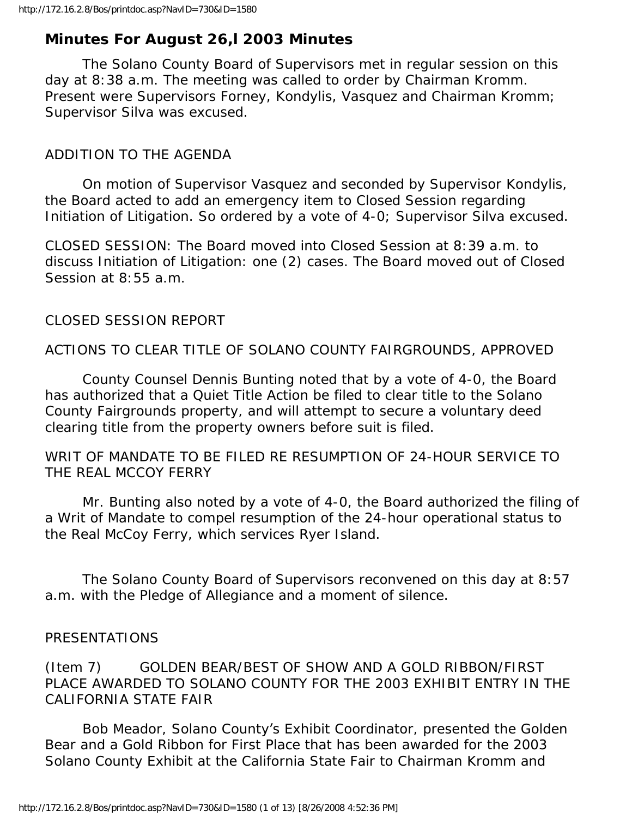# **Minutes For August 26,l 2003 Minutes**

 The Solano County Board of Supervisors met in regular session on this day at 8:38 a.m. The meeting was called to order by Chairman Kromm. Present were Supervisors Forney, Kondylis, Vasquez and Chairman Kromm; Supervisor Silva was excused.

#### ADDITION TO THE AGENDA

 On motion of Supervisor Vasquez and seconded by Supervisor Kondylis, the Board acted to add an emergency item to Closed Session regarding Initiation of Litigation. So ordered by a vote of 4-0; Supervisor Silva excused.

CLOSED SESSION: The Board moved into Closed Session at 8:39 a.m. to discuss Initiation of Litigation: one (2) cases. The Board moved out of Closed Session at 8:55 a.m.

#### CLOSED SESSION REPORT

ACTIONS TO CLEAR TITLE OF SOLANO COUNTY FAIRGROUNDS, APPROVED

 County Counsel Dennis Bunting noted that by a vote of 4-0, the Board has authorized that a Quiet Title Action be filed to clear title to the Solano County Fairgrounds property, and will attempt to secure a voluntary deed clearing title from the property owners before suit is filed.

WRIT OF MANDATE TO BE FILED RE RESUMPTION OF 24-HOUR SERVICE TO THE REAL MCCOY FERRY

 Mr. Bunting also noted by a vote of 4-0, the Board authorized the filing of a Writ of Mandate to compel resumption of the 24-hour operational status to the Real McCoy Ferry, which services Ryer Island.

 The Solano County Board of Supervisors reconvened on this day at 8:57 a.m. with the Pledge of Allegiance and a moment of silence.

#### PRESENTATIONS

(Item 7) GOLDEN BEAR/BEST OF SHOW AND A GOLD RIBBON/FIRST PLACE AWARDED TO SOLANO COUNTY FOR THE 2003 EXHIBIT ENTRY IN THE CALIFORNIA STATE FAIR

 Bob Meador, Solano County's Exhibit Coordinator, presented the Golden Bear and a Gold Ribbon for First Place that has been awarded for the 2003 Solano County Exhibit at the California State Fair to Chairman Kromm and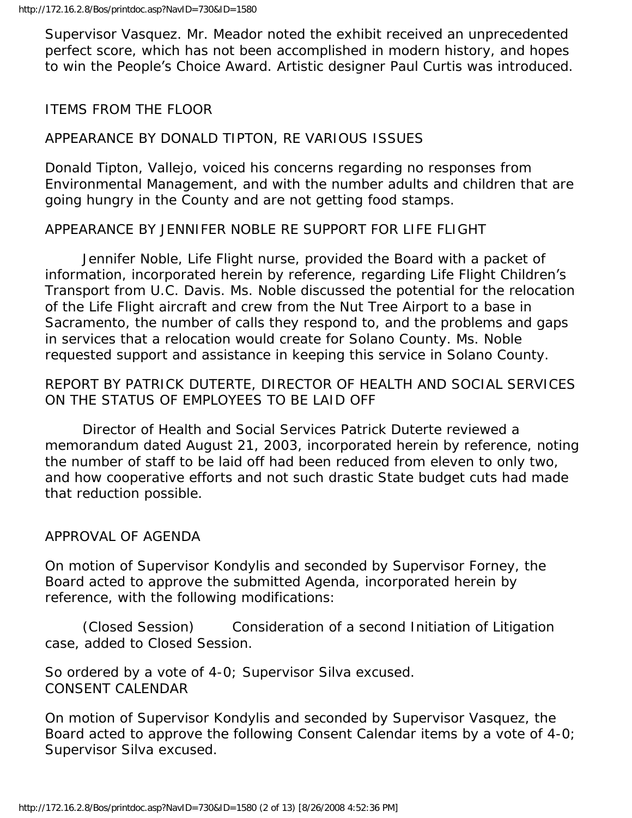Supervisor Vasquez. Mr. Meador noted the exhibit received an unprecedented perfect score, which has not been accomplished in modern history, and hopes to win the People's Choice Award. Artistic designer Paul Curtis was introduced.

# ITEMS FROM THE FLOOR

### APPEARANCE BY DONALD TIPTON, RE VARIOUS ISSUES

Donald Tipton, Vallejo, voiced his concerns regarding no responses from Environmental Management, and with the number adults and children that are going hungry in the County and are not getting food stamps.

APPEARANCE BY JENNIFER NOBLE RE SUPPORT FOR LIFE FLIGHT

 Jennifer Noble, Life Flight nurse, provided the Board with a packet of information, incorporated herein by reference, regarding Life Flight Children's Transport from U.C. Davis. Ms. Noble discussed the potential for the relocation of the Life Flight aircraft and crew from the Nut Tree Airport to a base in Sacramento, the number of calls they respond to, and the problems and gaps in services that a relocation would create for Solano County. Ms. Noble requested support and assistance in keeping this service in Solano County.

# REPORT BY PATRICK DUTERTE, DIRECTOR OF HEALTH AND SOCIAL SERVICES ON THE STATUS OF EMPLOYEES TO BE LAID OFF

 Director of Health and Social Services Patrick Duterte reviewed a memorandum dated August 21, 2003, incorporated herein by reference, noting the number of staff to be laid off had been reduced from eleven to only two, and how cooperative efforts and not such drastic State budget cuts had made that reduction possible.

### APPROVAL OF AGENDA

On motion of Supervisor Kondylis and seconded by Supervisor Forney, the Board acted to approve the submitted Agenda, incorporated herein by reference, with the following modifications:

 (Closed Session) Consideration of a second Initiation of Litigation case, added to Closed Session.

So ordered by a vote of 4-0; Supervisor Silva excused. CONSENT CALENDAR

On motion of Supervisor Kondylis and seconded by Supervisor Vasquez, the Board acted to approve the following Consent Calendar items by a vote of 4-0; Supervisor Silva excused.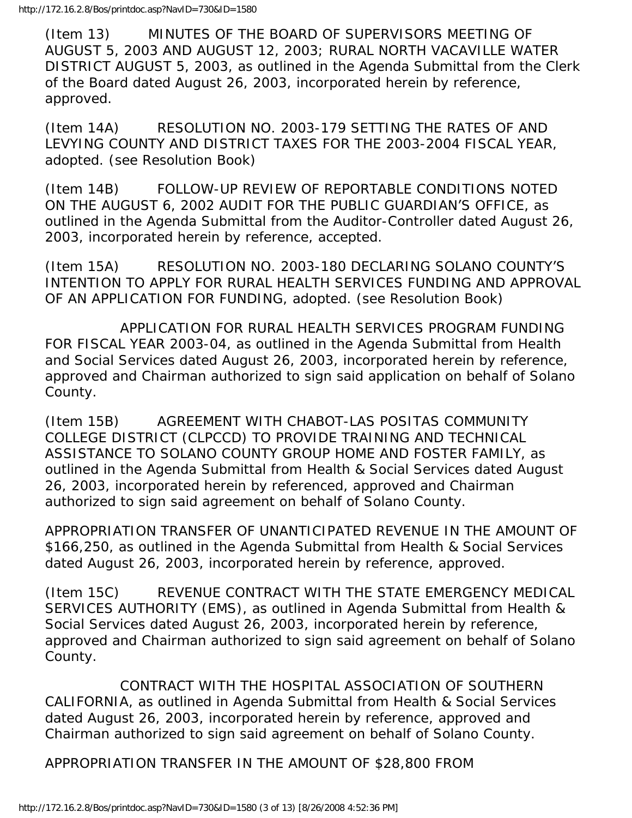(Item 13) MINUTES OF THE BOARD OF SUPERVISORS MEETING OF AUGUST 5, 2003 AND AUGUST 12, 2003; RURAL NORTH VACAVILLE WATER DISTRICT AUGUST 5, 2003, as outlined in the Agenda Submittal from the Clerk of the Board dated August 26, 2003, incorporated herein by reference, approved.

(Item 14A) RESOLUTION NO. 2003-179 SETTING THE RATES OF AND LEVYING COUNTY AND DISTRICT TAXES FOR THE 2003-2004 FISCAL YEAR, adopted. (see Resolution Book)

(Item 14B) FOLLOW-UP REVIEW OF REPORTABLE CONDITIONS NOTED ON THE AUGUST 6, 2002 AUDIT FOR THE PUBLIC GUARDIAN'S OFFICE, as outlined in the Agenda Submittal from the Auditor-Controller dated August 26, 2003, incorporated herein by reference, accepted.

(Item 15A) RESOLUTION NO. 2003-180 DECLARING SOLANO COUNTY'S INTENTION TO APPLY FOR RURAL HEALTH SERVICES FUNDING AND APPROVAL OF AN APPLICATION FOR FUNDING, adopted. (see Resolution Book)

 APPLICATION FOR RURAL HEALTH SERVICES PROGRAM FUNDING FOR FISCAL YEAR 2003-04, as outlined in the Agenda Submittal from Health and Social Services dated August 26, 2003, incorporated herein by reference, approved and Chairman authorized to sign said application on behalf of Solano County.

(Item 15B) AGREEMENT WITH CHABOT-LAS POSITAS COMMUNITY COLLEGE DISTRICT (CLPCCD) TO PROVIDE TRAINING AND TECHNICAL ASSISTANCE TO SOLANO COUNTY GROUP HOME AND FOSTER FAMILY, as outlined in the Agenda Submittal from Health & Social Services dated August 26, 2003, incorporated herein by referenced, approved and Chairman authorized to sign said agreement on behalf of Solano County.

APPROPRIATION TRANSFER OF UNANTICIPATED REVENUE IN THE AMOUNT OF \$166,250, as outlined in the Agenda Submittal from Health & Social Services dated August 26, 2003, incorporated herein by reference, approved.

(Item 15C) REVENUE CONTRACT WITH THE STATE EMERGENCY MEDICAL SERVICES AUTHORITY (EMS), as outlined in Agenda Submittal from Health & Social Services dated August 26, 2003, incorporated herein by reference, approved and Chairman authorized to sign said agreement on behalf of Solano County.

 CONTRACT WITH THE HOSPITAL ASSOCIATION OF SOUTHERN CALIFORNIA, as outlined in Agenda Submittal from Health & Social Services dated August 26, 2003, incorporated herein by reference, approved and Chairman authorized to sign said agreement on behalf of Solano County.

APPROPRIATION TRANSFER IN THE AMOUNT OF \$28,800 FROM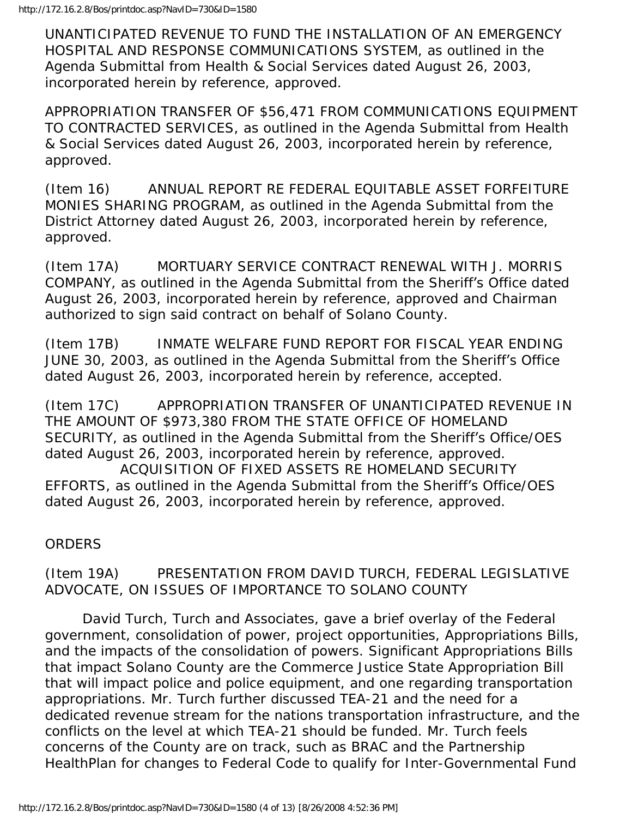UNANTICIPATED REVENUE TO FUND THE INSTALLATION OF AN EMERGENCY HOSPITAL AND RESPONSE COMMUNICATIONS SYSTEM, as outlined in the Agenda Submittal from Health & Social Services dated August 26, 2003, incorporated herein by reference, approved.

APPROPRIATION TRANSFER OF \$56,471 FROM COMMUNICATIONS EQUIPMENT TO CONTRACTED SERVICES, as outlined in the Agenda Submittal from Health & Social Services dated August 26, 2003, incorporated herein by reference, approved.

(Item 16) ANNUAL REPORT RE FEDERAL EQUITABLE ASSET FORFEITURE MONIES SHARING PROGRAM, as outlined in the Agenda Submittal from the District Attorney dated August 26, 2003, incorporated herein by reference, approved.

(Item 17A) MORTUARY SERVICE CONTRACT RENEWAL WITH J. MORRIS COMPANY, as outlined in the Agenda Submittal from the Sheriff's Office dated August 26, 2003, incorporated herein by reference, approved and Chairman authorized to sign said contract on behalf of Solano County.

(Item 17B) INMATE WELFARE FUND REPORT FOR FISCAL YEAR ENDING JUNE 30, 2003, as outlined in the Agenda Submittal from the Sheriff's Office dated August 26, 2003, incorporated herein by reference, accepted.

(Item 17C) APPROPRIATION TRANSFER OF UNANTICIPATED REVENUE IN THE AMOUNT OF \$973,380 FROM THE STATE OFFICE OF HOMELAND SECURITY, as outlined in the Agenda Submittal from the Sheriff's Office/OES dated August 26, 2003, incorporated herein by reference, approved.

 ACQUISITION OF FIXED ASSETS RE HOMELAND SECURITY EFFORTS, as outlined in the Agenda Submittal from the Sheriff's Office/OES dated August 26, 2003, incorporated herein by reference, approved.

**ORDERS** 

(Item 19A) PRESENTATION FROM DAVID TURCH, FEDERAL LEGISLATIVE ADVOCATE, ON ISSUES OF IMPORTANCE TO SOLANO COUNTY

 David Turch, Turch and Associates, gave a brief overlay of the Federal government, consolidation of power, project opportunities, Appropriations Bills, and the impacts of the consolidation of powers. Significant Appropriations Bills that impact Solano County are the Commerce Justice State Appropriation Bill that will impact police and police equipment, and one regarding transportation appropriations. Mr. Turch further discussed TEA-21 and the need for a dedicated revenue stream for the nations transportation infrastructure, and the conflicts on the level at which TEA-21 should be funded. Mr. Turch feels concerns of the County are on track, such as BRAC and the Partnership HealthPlan for changes to Federal Code to qualify for Inter-Governmental Fund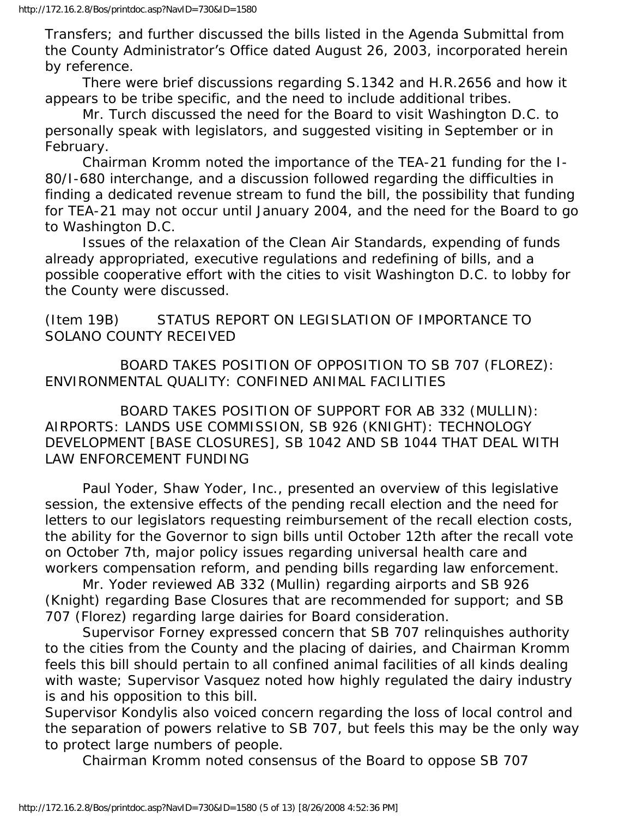Transfers; and further discussed the bills listed in the Agenda Submittal from the County Administrator's Office dated August 26, 2003, incorporated herein by reference.

 There were brief discussions regarding S.1342 and H.R.2656 and how it appears to be tribe specific, and the need to include additional tribes.

 Mr. Turch discussed the need for the Board to visit Washington D.C. to personally speak with legislators, and suggested visiting in September or in February.

 Chairman Kromm noted the importance of the TEA-21 funding for the I-80/I-680 interchange, and a discussion followed regarding the difficulties in finding a dedicated revenue stream to fund the bill, the possibility that funding for TEA-21 may not occur until January 2004, and the need for the Board to go to Washington D.C.

 Issues of the relaxation of the Clean Air Standards, expending of funds already appropriated, executive regulations and redefining of bills, and a possible cooperative effort with the cities to visit Washington D.C. to lobby for the County were discussed.

(Item 19B) STATUS REPORT ON LEGISLATION OF IMPORTANCE TO SOLANO COUNTY RECEIVED

 BOARD TAKES POSITION OF OPPOSITION TO SB 707 (FLOREZ): ENVIRONMENTAL QUALITY: CONFINED ANIMAL FACILITIES

 BOARD TAKES POSITION OF SUPPORT FOR AB 332 (MULLIN): AIRPORTS: LANDS USE COMMISSION, SB 926 (KNIGHT): TECHNOLOGY DEVELOPMENT [BASE CLOSURES], SB 1042 AND SB 1044 THAT DEAL WITH LAW ENFORCEMENT FUNDING

 Paul Yoder, Shaw Yoder, Inc., presented an overview of this legislative session, the extensive effects of the pending recall election and the need for letters to our legislators requesting reimbursement of the recall election costs, the ability for the Governor to sign bills until October 12th after the recall vote on October 7th, major policy issues regarding universal health care and workers compensation reform, and pending bills regarding law enforcement.

 Mr. Yoder reviewed AB 332 (Mullin) regarding airports and SB 926 (Knight) regarding Base Closures that are recommended for support; and SB 707 (Florez) regarding large dairies for Board consideration.

 Supervisor Forney expressed concern that SB 707 relinquishes authority to the cities from the County and the placing of dairies, and Chairman Kromm feels this bill should pertain to all confined animal facilities of all kinds dealing with waste; Supervisor Vasquez noted how highly regulated the dairy industry is and his opposition to this bill.

Supervisor Kondylis also voiced concern regarding the loss of local control and the separation of powers relative to SB 707, but feels this may be the only way to protect large numbers of people.

Chairman Kromm noted consensus of the Board to oppose SB 707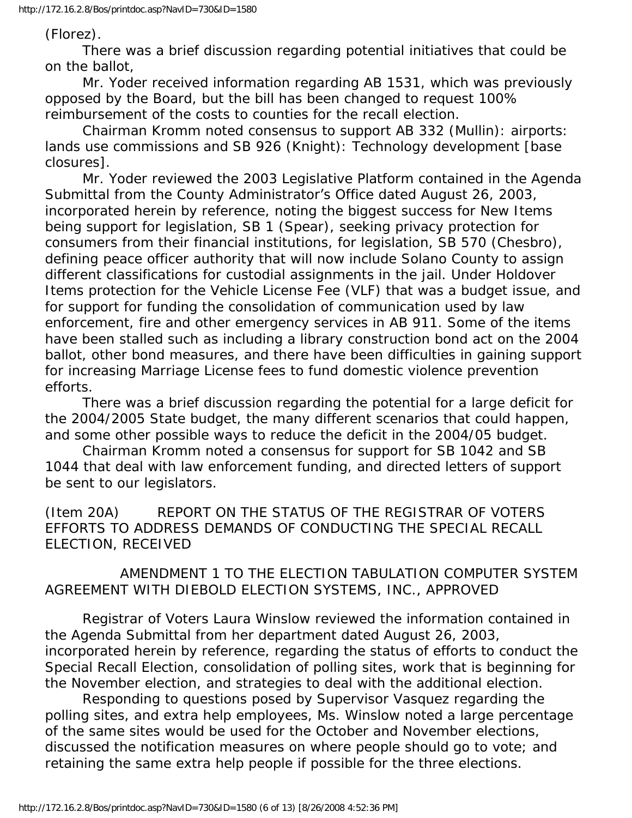(Florez).

 There was a brief discussion regarding potential initiatives that could be on the ballot,

 Mr. Yoder received information regarding AB 1531, which was previously opposed by the Board, but the bill has been changed to request 100% reimbursement of the costs to counties for the recall election.

 Chairman Kromm noted consensus to support AB 332 (Mullin): airports: lands use commissions and SB 926 (Knight): Technology development [base closures].

 Mr. Yoder reviewed the 2003 Legislative Platform contained in the Agenda Submittal from the County Administrator's Office dated August 26, 2003, incorporated herein by reference, noting the biggest success for New Items being support for legislation, SB 1 (Spear), seeking privacy protection for consumers from their financial institutions, for legislation, SB 570 (Chesbro), defining peace officer authority that will now include Solano County to assign different classifications for custodial assignments in the jail. Under Holdover Items protection for the Vehicle License Fee (VLF) that was a budget issue, and for support for funding the consolidation of communication used by law enforcement, fire and other emergency services in AB 911. Some of the items have been stalled such as including a library construction bond act on the 2004 ballot, other bond measures, and there have been difficulties in gaining support for increasing Marriage License fees to fund domestic violence prevention efforts.

 There was a brief discussion regarding the potential for a large deficit for the 2004/2005 State budget, the many different scenarios that could happen, and some other possible ways to reduce the deficit in the 2004/05 budget.

 Chairman Kromm noted a consensus for support for SB 1042 and SB 1044 that deal with law enforcement funding, and directed letters of support be sent to our legislators.

(Item 20A) REPORT ON THE STATUS OF THE REGISTRAR OF VOTERS EFFORTS TO ADDRESS DEMANDS OF CONDUCTING THE SPECIAL RECALL ELECTION, RECEIVED

 AMENDMENT 1 TO THE ELECTION TABULATION COMPUTER SYSTEM AGREEMENT WITH DIEBOLD ELECTION SYSTEMS, INC., APPROVED

 Registrar of Voters Laura Winslow reviewed the information contained in the Agenda Submittal from her department dated August 26, 2003, incorporated herein by reference, regarding the status of efforts to conduct the Special Recall Election, consolidation of polling sites, work that is beginning for the November election, and strategies to deal with the additional election.

 Responding to questions posed by Supervisor Vasquez regarding the polling sites, and extra help employees, Ms. Winslow noted a large percentage of the same sites would be used for the October and November elections, discussed the notification measures on where people should go to vote; and retaining the same extra help people if possible for the three elections.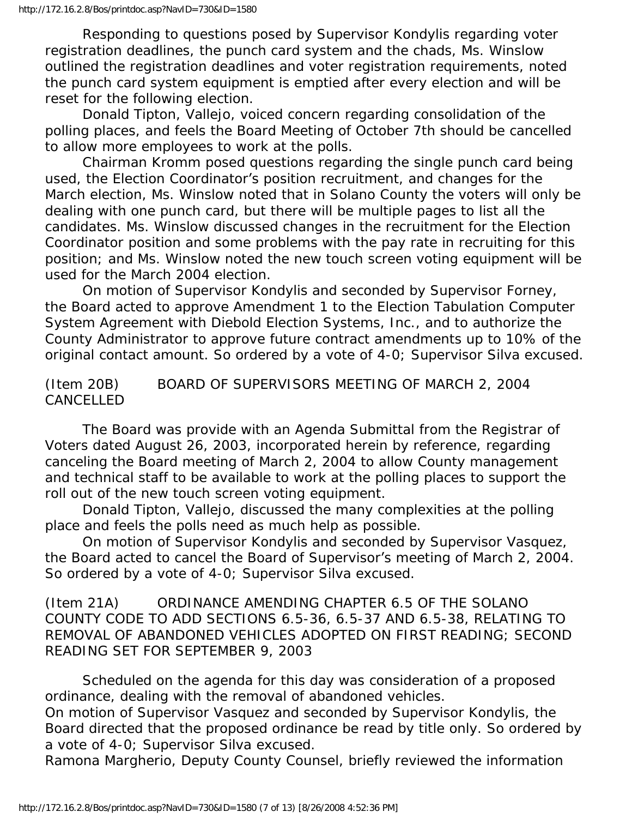Responding to questions posed by Supervisor Kondylis regarding voter registration deadlines, the punch card system and the chads, Ms. Winslow outlined the registration deadlines and voter registration requirements, noted the punch card system equipment is emptied after every election and will be reset for the following election.

 Donald Tipton, Vallejo, voiced concern regarding consolidation of the polling places, and feels the Board Meeting of October 7th should be cancelled to allow more employees to work at the polls.

 Chairman Kromm posed questions regarding the single punch card being used, the Election Coordinator's position recruitment, and changes for the March election, Ms. Winslow noted that in Solano County the voters will only be dealing with one punch card, but there will be multiple pages to list all the candidates. Ms. Winslow discussed changes in the recruitment for the Election Coordinator position and some problems with the pay rate in recruiting for this position; and Ms. Winslow noted the new touch screen voting equipment will be used for the March 2004 election.

 On motion of Supervisor Kondylis and seconded by Supervisor Forney, the Board acted to approve Amendment 1 to the Election Tabulation Computer System Agreement with Diebold Election Systems, Inc., and to authorize the County Administrator to approve future contract amendments up to 10% of the original contact amount. So ordered by a vote of 4-0; Supervisor Silva excused.

### (Item 20B) BOARD OF SUPERVISORS MEETING OF MARCH 2, 2004 **CANCELLED**

 The Board was provide with an Agenda Submittal from the Registrar of Voters dated August 26, 2003, incorporated herein by reference, regarding canceling the Board meeting of March 2, 2004 to allow County management and technical staff to be available to work at the polling places to support the roll out of the new touch screen voting equipment.

 Donald Tipton, Vallejo, discussed the many complexities at the polling place and feels the polls need as much help as possible.

 On motion of Supervisor Kondylis and seconded by Supervisor Vasquez, the Board acted to cancel the Board of Supervisor's meeting of March 2, 2004. So ordered by a vote of 4-0; Supervisor Silva excused.

(Item 21A) ORDINANCE AMENDING CHAPTER 6.5 OF THE SOLANO COUNTY CODE TO ADD SECTIONS 6.5-36, 6.5-37 AND 6.5-38, RELATING TO REMOVAL OF ABANDONED VEHICLES ADOPTED ON FIRST READING; SECOND READING SET FOR SEPTEMBER 9, 2003

 Scheduled on the agenda for this day was consideration of a proposed ordinance, dealing with the removal of abandoned vehicles. On motion of Supervisor Vasquez and seconded by Supervisor Kondylis, the Board directed that the proposed ordinance be read by title only. So ordered by a vote of 4-0; Supervisor Silva excused.

Ramona Margherio, Deputy County Counsel, briefly reviewed the information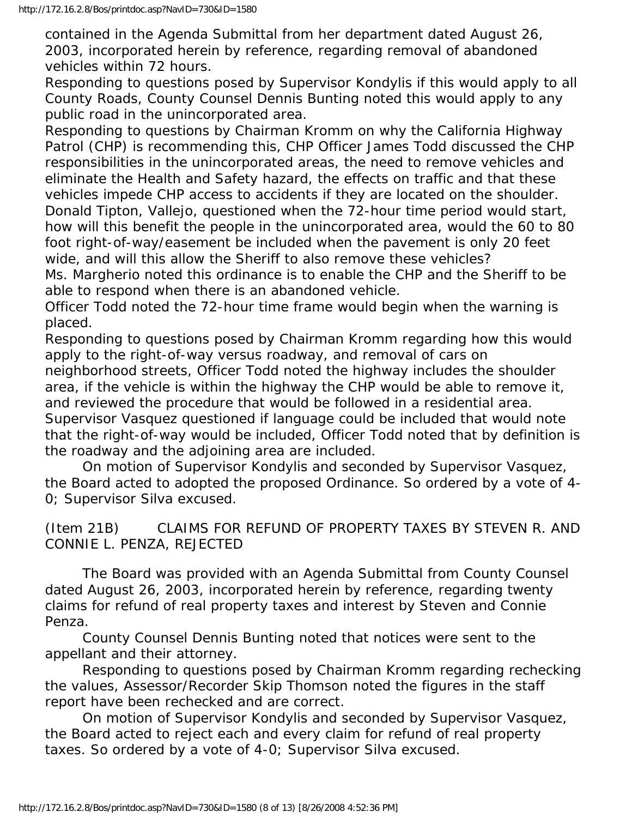contained in the Agenda Submittal from her department dated August 26, 2003, incorporated herein by reference, regarding removal of abandoned vehicles within 72 hours.

Responding to questions posed by Supervisor Kondylis if this would apply to all County Roads, County Counsel Dennis Bunting noted this would apply to any public road in the unincorporated area.

Responding to questions by Chairman Kromm on why the California Highway Patrol (CHP) is recommending this, CHP Officer James Todd discussed the CHP responsibilities in the unincorporated areas, the need to remove vehicles and eliminate the Health and Safety hazard, the effects on traffic and that these vehicles impede CHP access to accidents if they are located on the shoulder. Donald Tipton, Vallejo, questioned when the 72-hour time period would start, how will this benefit the people in the unincorporated area, would the 60 to 80 foot right-of-way/easement be included when the pavement is only 20 feet wide, and will this allow the Sheriff to also remove these vehicles?

Ms. Margherio noted this ordinance is to enable the CHP and the Sheriff to be able to respond when there is an abandoned vehicle.

Officer Todd noted the 72-hour time frame would begin when the warning is placed.

Responding to questions posed by Chairman Kromm regarding how this would apply to the right-of-way versus roadway, and removal of cars on

neighborhood streets, Officer Todd noted the highway includes the shoulder area, if the vehicle is within the highway the CHP would be able to remove it, and reviewed the procedure that would be followed in a residential area.

Supervisor Vasquez questioned if language could be included that would note that the right-of-way would be included, Officer Todd noted that by definition is the roadway and the adjoining area are included.

 On motion of Supervisor Kondylis and seconded by Supervisor Vasquez, the Board acted to adopted the proposed Ordinance. So ordered by a vote of 4- 0; Supervisor Silva excused.

(Item 21B) CLAIMS FOR REFUND OF PROPERTY TAXES BY STEVEN R. AND CONNIE L. PENZA, REJECTED

 The Board was provided with an Agenda Submittal from County Counsel dated August 26, 2003, incorporated herein by reference, regarding twenty claims for refund of real property taxes and interest by Steven and Connie Penza.

 County Counsel Dennis Bunting noted that notices were sent to the appellant and their attorney.

 Responding to questions posed by Chairman Kromm regarding rechecking the values, Assessor/Recorder Skip Thomson noted the figures in the staff report have been rechecked and are correct.

 On motion of Supervisor Kondylis and seconded by Supervisor Vasquez, the Board acted to reject each and every claim for refund of real property taxes. So ordered by a vote of 4-0; Supervisor Silva excused.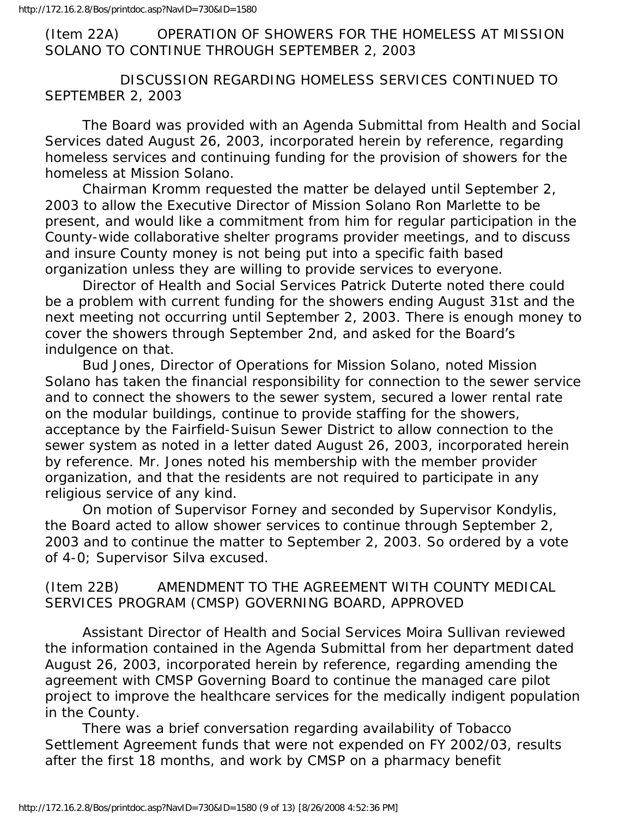(Item 22A) OPERATION OF SHOWERS FOR THE HOMELESS AT MISSION SOLANO TO CONTINUE THROUGH SEPTEMBER 2, 2003

 DISCUSSION REGARDING HOMELESS SERVICES CONTINUED TO SEPTEMBER 2, 2003

 The Board was provided with an Agenda Submittal from Health and Social Services dated August 26, 2003, incorporated herein by reference, regarding homeless services and continuing funding for the provision of showers for the homeless at Mission Solano.

 Chairman Kromm requested the matter be delayed until September 2, 2003 to allow the Executive Director of Mission Solano Ron Marlette to be present, and would like a commitment from him for regular participation in the County-wide collaborative shelter programs provider meetings, and to discuss and insure County money is not being put into a specific faith based organization unless they are willing to provide services to everyone.

 Director of Health and Social Services Patrick Duterte noted there could be a problem with current funding for the showers ending August 31st and the next meeting not occurring until September 2, 2003. There is enough money to cover the showers through September 2nd, and asked for the Board's indulgence on that.

 Bud Jones, Director of Operations for Mission Solano, noted Mission Solano has taken the financial responsibility for connection to the sewer service and to connect the showers to the sewer system, secured a lower rental rate on the modular buildings, continue to provide staffing for the showers, acceptance by the Fairfield-Suisun Sewer District to allow connection to the sewer system as noted in a letter dated August 26, 2003, incorporated herein by reference. Mr. Jones noted his membership with the member provider organization, and that the residents are not required to participate in any religious service of any kind.

 On motion of Supervisor Forney and seconded by Supervisor Kondylis, the Board acted to allow shower services to continue through September 2, 2003 and to continue the matter to September 2, 2003. So ordered by a vote of 4-0; Supervisor Silva excused.

(Item 22B) AMENDMENT TO THE AGREEMENT WITH COUNTY MEDICAL SERVICES PROGRAM (CMSP) GOVERNING BOARD, APPROVED

 Assistant Director of Health and Social Services Moira Sullivan reviewed the information contained in the Agenda Submittal from her department dated August 26, 2003, incorporated herein by reference, regarding amending the agreement with CMSP Governing Board to continue the managed care pilot project to improve the healthcare services for the medically indigent population in the County.

 There was a brief conversation regarding availability of Tobacco Settlement Agreement funds that were not expended on FY 2002/03, results after the first 18 months, and work by CMSP on a pharmacy benefit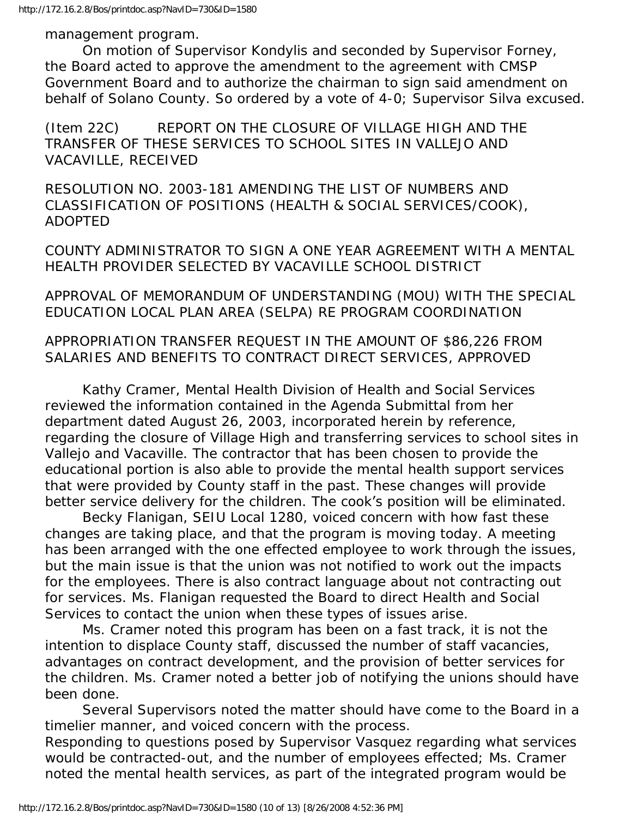management program.

 On motion of Supervisor Kondylis and seconded by Supervisor Forney, the Board acted to approve the amendment to the agreement with CMSP Government Board and to authorize the chairman to sign said amendment on behalf of Solano County. So ordered by a vote of 4-0; Supervisor Silva excused.

(Item 22C) REPORT ON THE CLOSURE OF VILLAGE HIGH AND THE TRANSFER OF THESE SERVICES TO SCHOOL SITES IN VALLEJO AND VACAVILLE, RECEIVED

RESOLUTION NO. 2003-181 AMENDING THE LIST OF NUMBERS AND CLASSIFICATION OF POSITIONS (HEALTH & SOCIAL SERVICES/COOK), ADOPTED

COUNTY ADMINISTRATOR TO SIGN A ONE YEAR AGREEMENT WITH A MENTAL HEALTH PROVIDER SELECTED BY VACAVILLE SCHOOL DISTRICT

APPROVAL OF MEMORANDUM OF UNDERSTANDING (MOU) WITH THE SPECIAL EDUCATION LOCAL PLAN AREA (SELPA) RE PROGRAM COORDINATION

### APPROPRIATION TRANSFER REQUEST IN THE AMOUNT OF \$86,226 FROM SALARIES AND BENEFITS TO CONTRACT DIRECT SERVICES, APPROVED

 Kathy Cramer, Mental Health Division of Health and Social Services reviewed the information contained in the Agenda Submittal from her department dated August 26, 2003, incorporated herein by reference, regarding the closure of Village High and transferring services to school sites in Vallejo and Vacaville. The contractor that has been chosen to provide the educational portion is also able to provide the mental health support services that were provided by County staff in the past. These changes will provide better service delivery for the children. The cook's position will be eliminated.

 Becky Flanigan, SEIU Local 1280, voiced concern with how fast these changes are taking place, and that the program is moving today. A meeting has been arranged with the one effected employee to work through the issues, but the main issue is that the union was not notified to work out the impacts for the employees. There is also contract language about not contracting out for services. Ms. Flanigan requested the Board to direct Health and Social Services to contact the union when these types of issues arise.

 Ms. Cramer noted this program has been on a fast track, it is not the intention to displace County staff, discussed the number of staff vacancies, advantages on contract development, and the provision of better services for the children. Ms. Cramer noted a better job of notifying the unions should have been done.

 Several Supervisors noted the matter should have come to the Board in a timelier manner, and voiced concern with the process.

Responding to questions posed by Supervisor Vasquez regarding what services would be contracted-out, and the number of employees effected; Ms. Cramer noted the mental health services, as part of the integrated program would be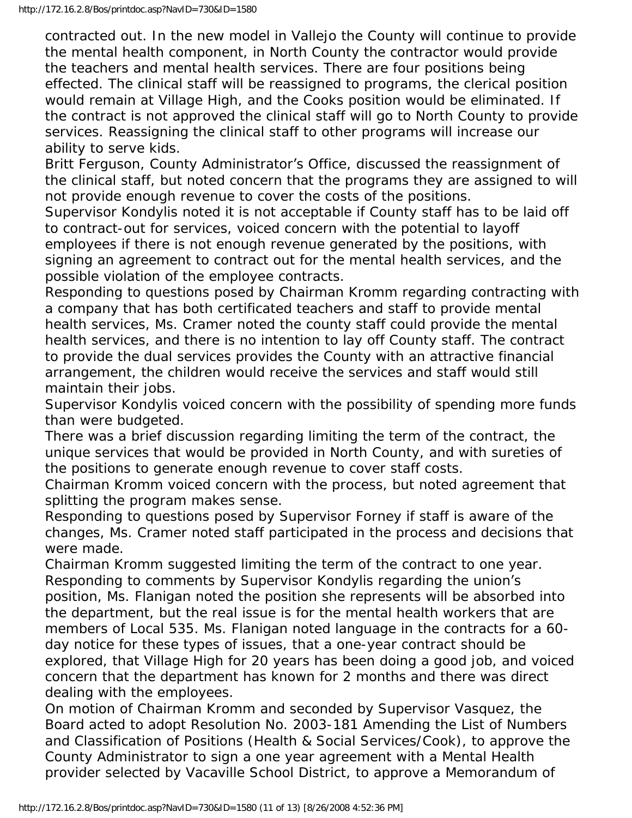contracted out. In the new model in Vallejo the County will continue to provide the mental health component, in North County the contractor would provide the teachers and mental health services. There are four positions being effected. The clinical staff will be reassigned to programs, the clerical position would remain at Village High, and the Cooks position would be eliminated. If the contract is not approved the clinical staff will go to North County to provide services. Reassigning the clinical staff to other programs will increase our ability to serve kids.

Britt Ferguson, County Administrator's Office, discussed the reassignment of the clinical staff, but noted concern that the programs they are assigned to will not provide enough revenue to cover the costs of the positions.

Supervisor Kondylis noted it is not acceptable if County staff has to be laid off to contract-out for services, voiced concern with the potential to layoff employees if there is not enough revenue generated by the positions, with signing an agreement to contract out for the mental health services, and the possible violation of the employee contracts.

Responding to questions posed by Chairman Kromm regarding contracting with a company that has both certificated teachers and staff to provide mental health services, Ms. Cramer noted the county staff could provide the mental health services, and there is no intention to lay off County staff. The contract to provide the dual services provides the County with an attractive financial arrangement, the children would receive the services and staff would still maintain their jobs.

Supervisor Kondylis voiced concern with the possibility of spending more funds than were budgeted.

There was a brief discussion regarding limiting the term of the contract, the unique services that would be provided in North County, and with sureties of the positions to generate enough revenue to cover staff costs.

Chairman Kromm voiced concern with the process, but noted agreement that splitting the program makes sense.

Responding to questions posed by Supervisor Forney if staff is aware of the changes, Ms. Cramer noted staff participated in the process and decisions that were made.

Chairman Kromm suggested limiting the term of the contract to one year. Responding to comments by Supervisor Kondylis regarding the union's position, Ms. Flanigan noted the position she represents will be absorbed into the department, but the real issue is for the mental health workers that are members of Local 535. Ms. Flanigan noted language in the contracts for a 60 day notice for these types of issues, that a one-year contract should be explored, that Village High for 20 years has been doing a good job, and voiced concern that the department has known for 2 months and there was direct dealing with the employees.

On motion of Chairman Kromm and seconded by Supervisor Vasquez, the Board acted to adopt Resolution No. 2003-181 Amending the List of Numbers and Classification of Positions (Health & Social Services/Cook), to approve the County Administrator to sign a one year agreement with a Mental Health provider selected by Vacaville School District, to approve a Memorandum of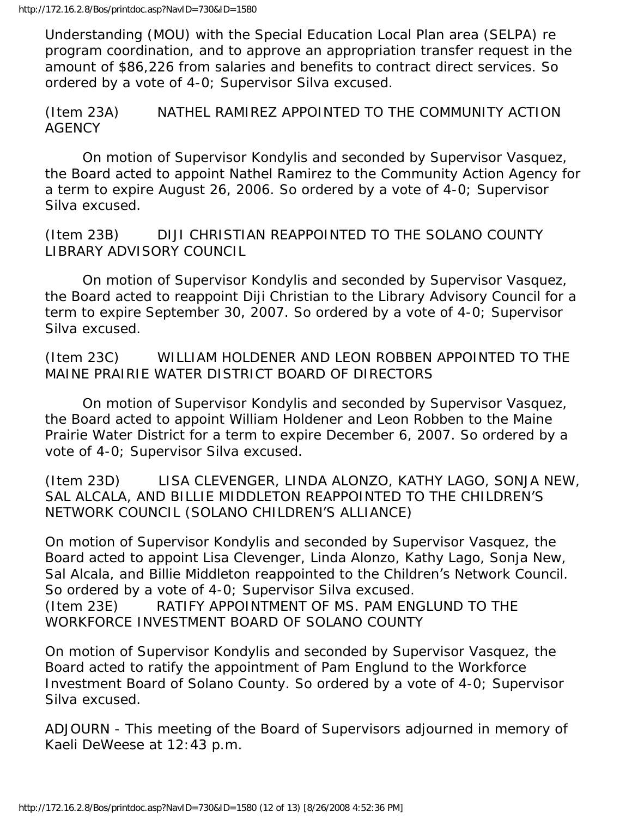Understanding (MOU) with the Special Education Local Plan area (SELPA) re program coordination, and to approve an appropriation transfer request in the amount of \$86,226 from salaries and benefits to contract direct services. So ordered by a vote of 4-0; Supervisor Silva excused.

(Item 23A) NATHEL RAMIREZ APPOINTED TO THE COMMUNITY ACTION AGENCY

 On motion of Supervisor Kondylis and seconded by Supervisor Vasquez, the Board acted to appoint Nathel Ramirez to the Community Action Agency for a term to expire August 26, 2006. So ordered by a vote of 4-0; Supervisor Silva excused.

(Item 23B) DIJI CHRISTIAN REAPPOINTED TO THE SOLANO COUNTY LIBRARY ADVISORY COUNCIL

 On motion of Supervisor Kondylis and seconded by Supervisor Vasquez, the Board acted to reappoint Diji Christian to the Library Advisory Council for a term to expire September 30, 2007. So ordered by a vote of 4-0; Supervisor Silva excused.

(Item 23C) WILLIAM HOLDENER AND LEON ROBBEN APPOINTED TO THE MAINE PRAIRIE WATER DISTRICT BOARD OF DIRECTORS

 On motion of Supervisor Kondylis and seconded by Supervisor Vasquez, the Board acted to appoint William Holdener and Leon Robben to the Maine Prairie Water District for a term to expire December 6, 2007. So ordered by a vote of 4-0; Supervisor Silva excused.

(Item 23D) LISA CLEVENGER, LINDA ALONZO, KATHY LAGO, SONJA NEW, SAL ALCALA, AND BILLIE MIDDLETON REAPPOINTED TO THE CHILDREN'S NETWORK COUNCIL (SOLANO CHILDREN'S ALLIANCE)

On motion of Supervisor Kondylis and seconded by Supervisor Vasquez, the Board acted to appoint Lisa Clevenger, Linda Alonzo, Kathy Lago, Sonja New, Sal Alcala, and Billie Middleton reappointed to the Children's Network Council. So ordered by a vote of 4-0; Supervisor Silva excused. (Item 23E) RATIFY APPOINTMENT OF MS. PAM ENGLUND TO THE WORKFORCE INVESTMENT BOARD OF SOLANO COUNTY

On motion of Supervisor Kondylis and seconded by Supervisor Vasquez, the Board acted to ratify the appointment of Pam Englund to the Workforce Investment Board of Solano County. So ordered by a vote of 4-0; Supervisor Silva excused.

ADJOURN - This meeting of the Board of Supervisors adjourned in memory of Kaeli DeWeese at 12:43 p.m.